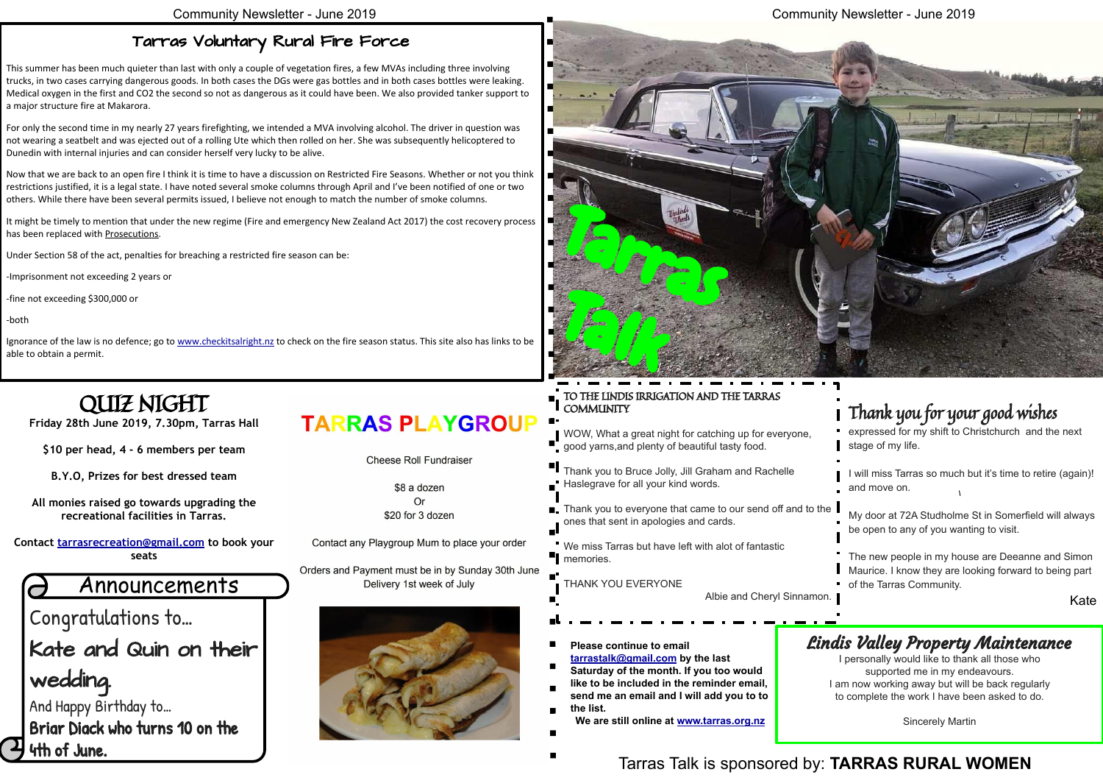Congratulations to…

Kate and Quin on their

wedding.

And Happy Birthday to… Briar Diack who turns 10 on the 4th of June.

### **TARRAS PLAYGROUP**

**Cheese Roll Fundraiser** 

\$8 a dozen  $Or$ \$20 for 3 dozen

Contact any Playgroup Mum to place your order

Orders and Payment must be in by Sunday 30th June Delivery 1st week of July



#### Community Newsletter - June 2019

### Announcements

- **Please continue to email**
- **[tarrastalk@gmail.com](mailto:tarrastalk@gmail.com) by the last Saturday of the month. If you too would**
- **like to be included in the reminder email, send me an email and I will add you to to**
- **the list.**

**We are still online at [www.tarras.org.nz](http://www.tarras.org.nz)**

Tarras Talk is sponsored by: **TARRAS RURAL WOMEN**

#### Lindis Valley Property Maintenance

I personally would like to thank all those who supported me in my endeavours. I am now working away but will be back regularly to complete the work I have been asked to do.

Sincerely Martin



# QUIZ NIGHT

**Friday 28th June 2019, 7.30pm, Tarras Hall**

**\$10 per head, 4 - 6 members per team**

**B.Y.O, Prizes for best dressed team**

**All monies raised go towards upgrading the recreational facilities in Tarras.**

**Contact [tarrasrecreation@gmail.com](mailto:tarrasrecreation@gmail.com) to book your seats**

#### Tarras Voluntary Rural Fire Force

It might be timely to mention that under the new regime (Fire and emergency New Zealand Act 2017) the cost recovery process has been replaced with Prosecutions.

This summer has been much quieter than last with only a couple of vegetation fires, a few MVAs including three involving trucks, in two cases carrying dangerous goods. In both cases the DGs were gas bottles and in both cases bottles were leaking. Medical oxygen in the first and CO2 the second so not as dangerous as it could have been. We also provided tanker support to a major structure fire at Makarora.

#### TO THE LINDIS IRRIGATION AND THE TARRAS **COMMUNITY**

**Thank you to Bruce Jolly, Jill Graham and Rachelle** Haslegrave for all your kind words.

We miss Tarras but have left with alot of fantastic **T** memories.

For only the second time in my nearly 27 years firefighting, we intended a MVA involving alcohol. The driver in question was not wearing a seatbelt and was ejected out of a rolling Ute which then rolled on her. She was subsequently helicoptered to Dunedin with internal injuries and can consider herself very lucky to be alive.

> ■ Thank you to everyone that came to our send off and to the ones that sent in apologies and cards. My door at 72A Studholme St in Somerfield will always be open to any of you wanting to visit.

Now that we are back to an open fire I think it is time to have a discussion on Restricted Fire Seasons. Whether or not you think restrictions justified, it is a legal state. I have noted several smoke columns through April and I've been notified of one or two others. While there have been several permits issued, I believe not enough to match the number of smoke columns.

Under Section 58 of the act, penalties for breaching a restricted fire season can be:

-Imprisonment not exceeding 2 years or

-fine not exceeding \$300,000 or

-both

Ignorance of the law is no defence; go to [www.checkitsalright.nz](https://www.checkitsalright.nz/) to check on the fire season status. This site also has links to be able to obtain a permit.

> WOW, What a great night for catching up for everyone, good yarns,and plenty of beautiful tasty food.

THANK YOU EVERYONE

Albie and Cheryl Sinnamon.

### Thank you for your good wishes

expressed for my shift to Christchurch and the next stage of my life.

I will miss Tarras so much but it's time to retire (again)! and move on.

The new people in my house are Deeanne and Simon Maurice. I know they are looking forward to being part of the Tarras Community.

Kate